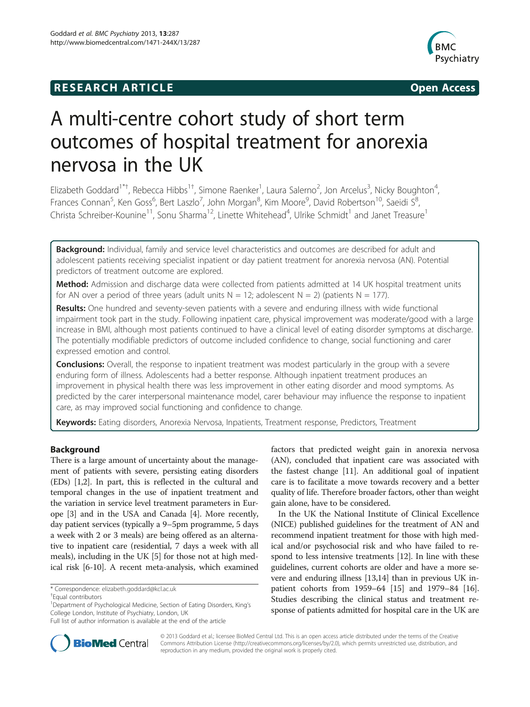# **RESEARCH ARTICLE Example 2014 The SEAR CH ACCESS**



# A multi-centre cohort study of short term outcomes of hospital treatment for anorexia nervosa in the UK

Elizabeth Goddard<sup>1\*†</sup>, Rebecca Hibbs<sup>1†</sup>, Simone Raenker<sup>1</sup>, Laura Salerno<sup>2</sup>, Jon Arcelus<sup>3</sup>, Nicky Boughton<sup>4</sup> , Frances Connan<sup>5</sup>, Ken Goss<sup>6</sup>, Bert Laszlo<sup>7</sup>, John Morgan<sup>8</sup>, Kim Moore<sup>9</sup>, David Robertson<sup>10</sup>, Saeidi S<sup>8</sup> , Christa Schreiber-Kounine<sup>11</sup>, Sonu Sharma<sup>12</sup>, Linette Whitehead<sup>4</sup>, Ulrike Schmidt<sup>1</sup> and Janet Treasure<sup>1</sup>

Background: Individual, family and service level characteristics and outcomes are described for adult and adolescent patients receiving specialist inpatient or day patient treatment for anorexia nervosa (AN). Potential predictors of treatment outcome are explored.

Method: Admission and discharge data were collected from patients admitted at 14 UK hospital treatment units for AN over a period of three years (adult units  $N = 12$ ; adolescent  $N = 2$ ) (patients  $N = 177$ ).

Results: One hundred and seventy-seven patients with a severe and enduring illness with wide functional impairment took part in the study. Following inpatient care, physical improvement was moderate/good with a large increase in BMI, although most patients continued to have a clinical level of eating disorder symptoms at discharge. The potentially modifiable predictors of outcome included confidence to change, social functioning and carer expressed emotion and control.

Conclusions: Overall, the response to inpatient treatment was modest particularly in the group with a severe enduring form of illness. Adolescents had a better response. Although inpatient treatment produces an improvement in physical health there was less improvement in other eating disorder and mood symptoms. As predicted by the carer interpersonal maintenance model, carer behaviour may influence the response to inpatient care, as may improved social functioning and confidence to change.

Keywords: Eating disorders, Anorexia Nervosa, Inpatients, Treatment response, Predictors, Treatment

# Background

There is a large amount of uncertainty about the management of patients with severe, persisting eating disorders (EDs) [[1,2](#page-12-0)]. In part, this is reflected in the cultural and temporal changes in the use of inpatient treatment and the variation in service level treatment parameters in Europe [\[3](#page-12-0)] and in the USA and Canada [[4](#page-12-0)]. More recently, day patient services (typically a 9–5pm programme, 5 days a week with 2 or 3 meals) are being offered as an alternative to inpatient care (residential, 7 days a week with all meals), including in the UK [\[5](#page-12-0)] for those not at high medical risk [\[6-10](#page-12-0)]. A recent meta-analysis, which examined

\* Correspondence: [elizabeth.goddard@kcl.ac.uk](mailto:elizabeth.goddard@kcl.ac.uk) †

<sup>1</sup>Department of Psychological Medicine, Section of Eating Disorders, King's College London, Institute of Psychiatry, London, UK

factors that predicted weight gain in anorexia nervosa (AN), concluded that inpatient care was associated with the fastest change [\[11\]](#page-12-0). An additional goal of inpatient care is to facilitate a move towards recovery and a better quality of life. Therefore broader factors, other than weight gain alone, have to be considered.

In the UK the National Institute of Clinical Excellence (NICE) published guidelines for the treatment of AN and recommend inpatient treatment for those with high medical and/or psychosocial risk and who have failed to respond to less intensive treatments [\[12\]](#page-12-0). In line with these guidelines, current cohorts are older and have a more severe and enduring illness [[13,14](#page-12-0)] than in previous UK inpatient cohorts from 1959–64 [[15](#page-12-0)] and 1979–84 [[16](#page-12-0)]. Studies describing the clinical status and treatment response of patients admitted for hospital care in the UK are



© 2013 Goddard et al.; licensee BioMed Central Ltd. This is an open access article distributed under the terms of the Creative Commons Attribution License [\(http://creativecommons.org/licenses/by/2.0\)](http://creativecommons.org/licenses/by/2.0), which permits unrestricted use, distribution, and reproduction in any medium, provided the original work is properly cited.

Equal contributors

Full list of author information is available at the end of the article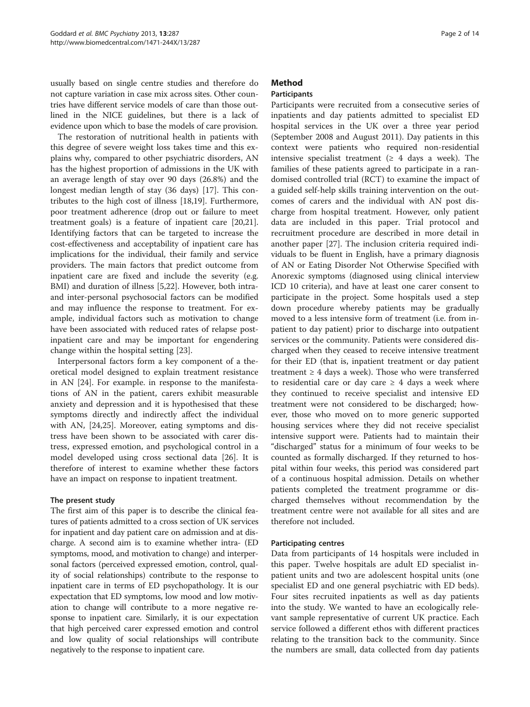usually based on single centre studies and therefore do not capture variation in case mix across sites. Other countries have different service models of care than those outlined in the NICE guidelines, but there is a lack of evidence upon which to base the models of care provision.

The restoration of nutritional health in patients with this degree of severe weight loss takes time and this explains why, compared to other psychiatric disorders, AN has the highest proportion of admissions in the UK with an average length of stay over 90 days (26.8%) and the longest median length of stay (36 days) [[17\]](#page-13-0). This contributes to the high cost of illness [[18](#page-13-0),[19](#page-13-0)]. Furthermore, poor treatment adherence (drop out or failure to meet treatment goals) is a feature of inpatient care [\[20,21](#page-13-0)]. Identifying factors that can be targeted to increase the cost-effectiveness and acceptability of inpatient care has implications for the individual, their family and service providers. The main factors that predict outcome from inpatient care are fixed and include the severity (e.g. BMI) and duration of illness [[5](#page-12-0),[22](#page-13-0)]. However, both intraand inter-personal psychosocial factors can be modified and may influence the response to treatment. For example, individual factors such as motivation to change have been associated with reduced rates of relapse postinpatient care and may be important for engendering change within the hospital setting [\[23](#page-13-0)].

Interpersonal factors form a key component of a theoretical model designed to explain treatment resistance in AN [\[24\]](#page-13-0). For example. in response to the manifestations of AN in the patient, carers exhibit measurable anxiety and depression and it is hypothesised that these symptoms directly and indirectly affect the individual with AN, [\[24,25\]](#page-13-0). Moreover, eating symptoms and distress have been shown to be associated with carer distress, expressed emotion, and psychological control in a model developed using cross sectional data [[26](#page-13-0)]. It is therefore of interest to examine whether these factors have an impact on response to inpatient treatment.

#### The present study

The first aim of this paper is to describe the clinical features of patients admitted to a cross section of UK services for inpatient and day patient care on admission and at discharge. A second aim is to examine whether intra- (ED symptoms, mood, and motivation to change) and interpersonal factors (perceived expressed emotion, control, quality of social relationships) contribute to the response to inpatient care in terms of ED psychopathology. It is our expectation that ED symptoms, low mood and low motivation to change will contribute to a more negative response to inpatient care. Similarly, it is our expectation that high perceived carer expressed emotion and control and low quality of social relationships will contribute negatively to the response to inpatient care.

# Method

# **Participants**

Participants were recruited from a consecutive series of inpatients and day patients admitted to specialist ED hospital services in the UK over a three year period (September 2008 and August 2011). Day patients in this context were patients who required non-residential intensive specialist treatment ( $\geq 4$  days a week). The families of these patients agreed to participate in a randomised controlled trial (RCT) to examine the impact of a guided self-help skills training intervention on the outcomes of carers and the individual with AN post discharge from hospital treatment. However, only patient data are included in this paper. Trial protocol and recruitment procedure are described in more detail in another paper [[27](#page-13-0)]. The inclusion criteria required individuals to be fluent in English, have a primary diagnosis of AN or Eating Disorder Not Otherwise Specified with Anorexic symptoms (diagnosed using clinical interview ICD 10 criteria), and have at least one carer consent to participate in the project. Some hospitals used a step down procedure whereby patients may be gradually moved to a less intensive form of treatment (i.e. from inpatient to day patient) prior to discharge into outpatient services or the community. Patients were considered discharged when they ceased to receive intensive treatment for their ED (that is, inpatient treatment or day patient treatment  $\geq 4$  days a week). Those who were transferred to residential care or day care  $\geq 4$  days a week where they continued to receive specialist and intensive ED treatment were not considered to be discharged; however, those who moved on to more generic supported housing services where they did not receive specialist intensive support were. Patients had to maintain their "discharged" status for a minimum of four weeks to be counted as formally discharged. If they returned to hospital within four weeks, this period was considered part of a continuous hospital admission. Details on whether patients completed the treatment programme or discharged themselves without recommendation by the treatment centre were not available for all sites and are therefore not included.

#### Participating centres

Data from participants of 14 hospitals were included in this paper. Twelve hospitals are adult ED specialist inpatient units and two are adolescent hospital units (one specialist ED and one general psychiatric with ED beds). Four sites recruited inpatients as well as day patients into the study. We wanted to have an ecologically relevant sample representative of current UK practice. Each service followed a different ethos with different practices relating to the transition back to the community. Since the numbers are small, data collected from day patients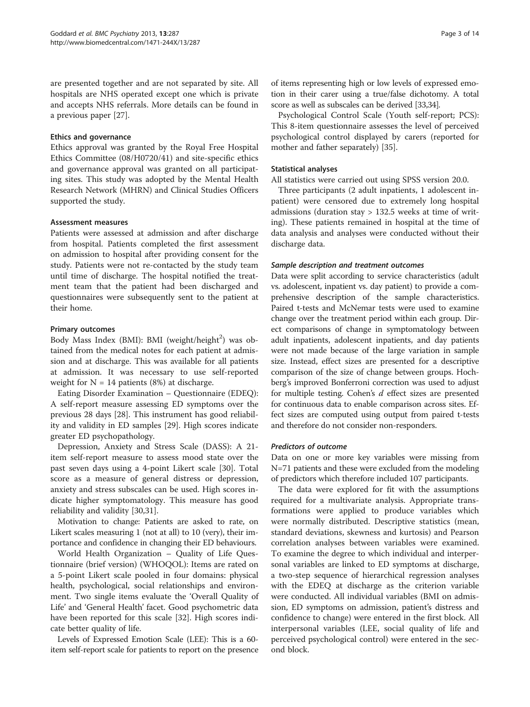are presented together and are not separated by site. All hospitals are NHS operated except one which is private and accepts NHS referrals. More details can be found in a previous paper [[27](#page-13-0)].

#### Ethics and governance

Ethics approval was granted by the Royal Free Hospital Ethics Committee (08/H0720/41) and site-specific ethics and governance approval was granted on all participating sites. This study was adopted by the Mental Health Research Network (MHRN) and Clinical Studies Officers supported the study.

#### Assessment measures

Patients were assessed at admission and after discharge from hospital. Patients completed the first assessment on admission to hospital after providing consent for the study. Patients were not re-contacted by the study team until time of discharge. The hospital notified the treatment team that the patient had been discharged and questionnaires were subsequently sent to the patient at their home.

# Primary outcomes

Body Mass Index (BMI): BMI (weight/height<sup>2</sup>) was obtained from the medical notes for each patient at admission and at discharge. This was available for all patients at admission. It was necessary to use self-reported weight for  $N = 14$  patients (8%) at discharge.

Eating Disorder Examination – Questionnaire (EDEQ): A self-report measure assessing ED symptoms over the previous 28 days [\[28](#page-13-0)]. This instrument has good reliability and validity in ED samples [[29\]](#page-13-0). High scores indicate greater ED psychopathology.

Depression, Anxiety and Stress Scale (DASS): A 21 item self-report measure to assess mood state over the past seven days using a 4-point Likert scale [[30](#page-13-0)]. Total score as a measure of general distress or depression, anxiety and stress subscales can be used. High scores indicate higher symptomatology. This measure has good reliability and validity [\[30,31\]](#page-13-0).

Motivation to change: Patients are asked to rate, on Likert scales measuring 1 (not at all) to 10 (very), their importance and confidence in changing their ED behaviours.

World Health Organization – Quality of Life Questionnaire (brief version) (WHOQOL): Items are rated on a 5-point Likert scale pooled in four domains: physical health, psychological, social relationships and environment. Two single items evaluate the 'Overall Quality of Life' and 'General Health' facet. Good psychometric data have been reported for this scale [\[32\]](#page-13-0). High scores indicate better quality of life.

Levels of Expressed Emotion Scale (LEE): This is a 60 item self-report scale for patients to report on the presence of items representing high or low levels of expressed emotion in their carer using a true/false dichotomy. A total score as well as subscales can be derived [\[33,34](#page-13-0)].

Psychological Control Scale (Youth self-report; PCS): This 8-item questionnaire assesses the level of perceived psychological control displayed by carers (reported for mother and father separately) [[35\]](#page-13-0).

# Statistical analyses

All statistics were carried out using SPSS version 20.0.

Three participants (2 adult inpatients, 1 adolescent inpatient) were censored due to extremely long hospital admissions (duration stay > 132.5 weeks at time of writing). These patients remained in hospital at the time of data analysis and analyses were conducted without their discharge data.

# Sample description and treatment outcomes

Data were split according to service characteristics (adult vs. adolescent, inpatient vs. day patient) to provide a comprehensive description of the sample characteristics. Paired t-tests and McNemar tests were used to examine change over the treatment period within each group. Direct comparisons of change in symptomatology between adult inpatients, adolescent inpatients, and day patients were not made because of the large variation in sample size. Instead, effect sizes are presented for a descriptive comparison of the size of change between groups. Hochberg's improved Bonferroni correction was used to adjust for multiple testing. Cohen's d effect sizes are presented for continuous data to enable comparison across sites. Effect sizes are computed using output from paired t-tests and therefore do not consider non-responders.

#### Predictors of outcome

Data on one or more key variables were missing from N=71 patients and these were excluded from the modeling of predictors which therefore included 107 participants.

The data were explored for fit with the assumptions required for a multivariate analysis. Appropriate transformations were applied to produce variables which were normally distributed. Descriptive statistics (mean, standard deviations, skewness and kurtosis) and Pearson correlation analyses between variables were examined. To examine the degree to which individual and interpersonal variables are linked to ED symptoms at discharge, a two-step sequence of hierarchical regression analyses with the EDEQ at discharge as the criterion variable were conducted. All individual variables (BMI on admission, ED symptoms on admission, patient's distress and confidence to change) were entered in the first block. All interpersonal variables (LEE, social quality of life and perceived psychological control) were entered in the second block.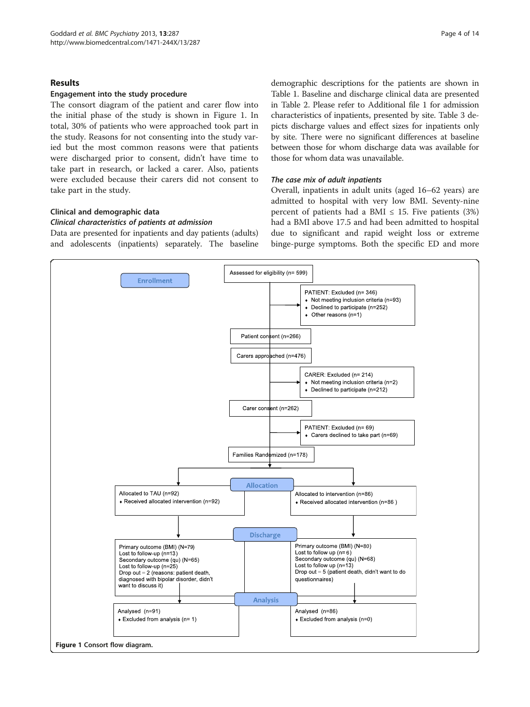# Results

#### Engagement into the study procedure

The consort diagram of the patient and carer flow into the initial phase of the study is shown in Figure 1. In total, 30% of patients who were approached took part in the study. Reasons for not consenting into the study varied but the most common reasons were that patients were discharged prior to consent, didn't have time to take part in research, or lacked a carer. Also, patients were excluded because their carers did not consent to take part in the study.

# Clinical and demographic data

#### Clinical characteristics of patients at admission

Data are presented for inpatients and day patients (adults) and adolescents (inpatients) separately. The baseline

demographic descriptions for the patients are shown in Table [1](#page-4-0). Baseline and discharge clinical data are presented in Table [2](#page-5-0). Please refer to Additional file 1 for admission characteristics of inpatients, presented by site. Table [3](#page-7-0) depicts discharge values and effect sizes for inpatients only by site. There were no significant differences at baseline between those for whom discharge data was available for those for whom data was unavailable.

# The case mix of adult inpatients

Overall, inpatients in adult units (aged 16–62 years) are admitted to hospital with very low BMI. Seventy-nine percent of patients had a BMI  $\leq$  15. Five patients (3%) had a BMI above 17.5 and had been admitted to hospital due to significant and rapid weight loss or extreme binge-purge symptoms. Both the specific ED and more

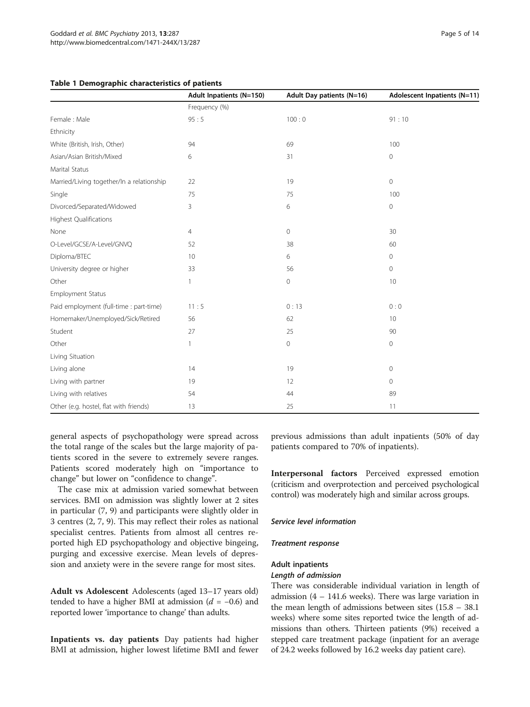<span id="page-4-0"></span>

|  |  | Table 1 Demographic characteristics of patients |  |
|--|--|-------------------------------------------------|--|
|--|--|-------------------------------------------------|--|

|                                           | Adult Inpatients (N=150) | Adult Day patients (N=16) | Adolescent Inpatients (N=11) |
|-------------------------------------------|--------------------------|---------------------------|------------------------------|
|                                           | Frequency (%)            |                           |                              |
| Female: Male                              | 95:5                     | 100:0                     | 91:10                        |
| Ethnicity                                 |                          |                           |                              |
| White (British, Irish, Other)             | 94                       | 69                        | 100                          |
| Asian/Asian British/Mixed                 | 6                        | 31                        | $\circ$                      |
| Marital Status                            |                          |                           |                              |
| Married/Living together/In a relationship | 22                       | 19                        | $\circ$                      |
| Single                                    | 75                       | 75                        | 100                          |
| Divorced/Separated/Widowed                | 3                        | 6                         | $\circ$                      |
| Highest Qualifications                    |                          |                           |                              |
| None                                      | $\overline{4}$           | $\mathbf 0$               | 30                           |
| O-Level/GCSE/A-Level/GNVQ                 | 52                       | 38                        | 60                           |
| Diploma/BTEC                              | 10                       | 6                         | $\circ$                      |
| University degree or higher               | 33                       | 56                        | $\circ$                      |
| Other                                     | 1                        | $\mathbf 0$               | 10                           |
| Employment Status                         |                          |                           |                              |
| Paid employment (full-time : part-time)   | 11:5                     | 0:13                      | 0:0                          |
| Homemaker/Unemployed/Sick/Retired         | 56                       | 62                        | 10                           |
| Student                                   | 27                       | 25                        | 90                           |
| Other                                     | $\mathbf{1}$             | $\mathbf 0$               | $\circ$                      |
| Living Situation                          |                          |                           |                              |
| Living alone                              | 14                       | 19                        | $\circ$                      |
| Living with partner                       | 19                       | 12                        | $\mathbf{0}$                 |
| Living with relatives                     | 54                       | 44                        | 89                           |
| Other (e.g. hostel, flat with friends)    | 13                       | 25                        | 11                           |

general aspects of psychopathology were spread across the total range of the scales but the large majority of patients scored in the severe to extremely severe ranges. Patients scored moderately high on "importance to change" but lower on "confidence to change".

The case mix at admission varied somewhat between services. BMI on admission was slightly lower at 2 sites in particular (7, 9) and participants were slightly older in 3 centres (2, 7, 9). This may reflect their roles as national specialist centres. Patients from almost all centres reported high ED psychopathology and objective bingeing, purging and excessive exercise. Mean levels of depression and anxiety were in the severe range for most sites.

Adult vs Adolescent Adolescents (aged 13–17 years old) tended to have a higher BMI at admission ( $d = -0.6$ ) and reported lower 'importance to change' than adults.

Inpatients vs. day patients Day patients had higher BMI at admission, higher lowest lifetime BMI and fewer

previous admissions than adult inpatients (50% of day patients compared to 70% of inpatients).

Interpersonal factors Perceived expressed emotion (criticism and overprotection and perceived psychological control) was moderately high and similar across groups.

#### Service level information

#### Treatment response

#### Adult inpatients

#### Length of admission

There was considerable individual variation in length of admission (4 – 141.6 weeks). There was large variation in the mean length of admissions between sites (15.8 – 38.1 weeks) where some sites reported twice the length of admissions than others. Thirteen patients (9%) received a stepped care treatment package (inpatient for an average of 24.2 weeks followed by 16.2 weeks day patient care).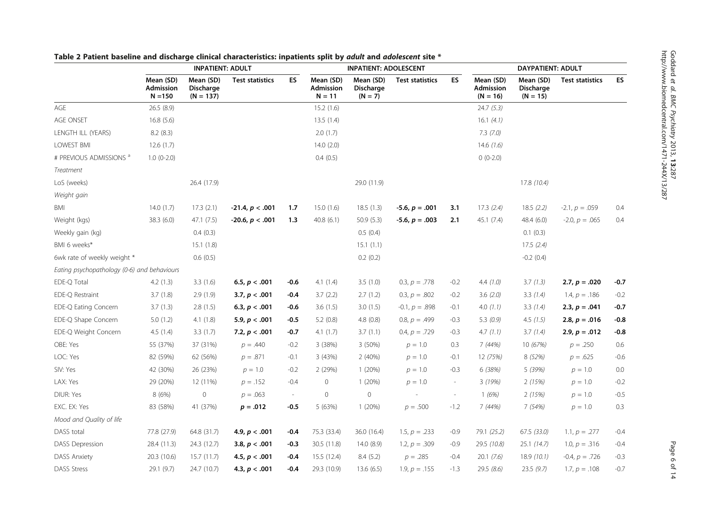|                                             |                                     | <b>INPATIENT: ADULT</b>                      |                        |        |                                    | <b>INPATIENT: ADOLESCENT</b>               |                        | <b>DAYPATIENT: ADULT</b> |                                      |                                             |                        |        |
|---------------------------------------------|-------------------------------------|----------------------------------------------|------------------------|--------|------------------------------------|--------------------------------------------|------------------------|--------------------------|--------------------------------------|---------------------------------------------|------------------------|--------|
|                                             | Mean (SD)<br>Admission<br>$N = 150$ | Mean (SD)<br><b>Discharge</b><br>$(N = 137)$ | <b>Test statistics</b> | ES     | Mean (SD)<br>Admission<br>$N = 11$ | Mean (SD)<br><b>Discharge</b><br>$(N = 7)$ | <b>Test statistics</b> | ES                       | Mean (SD)<br>Admission<br>$(N = 16)$ | Mean (SD)<br><b>Discharge</b><br>$(N = 15)$ | <b>Test statistics</b> | ES     |
| AGE                                         | 26.5 (8.9)                          |                                              |                        |        | 15.2(1.6)                          |                                            |                        |                          | 24.7(5.3)                            |                                             |                        |        |
| AGE ONSET                                   | 16.8(5.6)                           |                                              |                        |        | 13.5(1.4)                          |                                            |                        |                          | 16.1(4.1)                            |                                             |                        |        |
| LENGTH ILL (YEARS)                          | 8.2(8.3)                            |                                              |                        |        | 2.0(1.7)                           |                                            |                        |                          | 7.3(7.0)                             |                                             |                        |        |
| LOWEST BMI                                  | 12.6(1.7)                           |                                              |                        |        | 14.0(2.0)                          |                                            |                        |                          | 14.6 $(1.6)$                         |                                             |                        |        |
| # PREVIOUS ADMISSIONS <sup>a</sup>          | $1.0(0-2.0)$                        |                                              |                        |        | 0.4(0.5)                           |                                            |                        |                          | $0(0-2.0)$                           |                                             |                        |        |
| Treatment                                   |                                     |                                              |                        |        |                                    |                                            |                        |                          |                                      |                                             |                        |        |
| LoS (weeks)                                 |                                     | 26.4 (17.9)                                  |                        |        |                                    | 29.0 (11.9)                                |                        |                          |                                      | 17.8 (10.4)                                 |                        |        |
| Weight gain                                 |                                     |                                              |                        |        |                                    |                                            |                        |                          |                                      |                                             |                        |        |
| BMI                                         | 14.0(1.7)                           | 17.3(2.1)                                    | $-21.4, p < .001$      | 1.7    | 15.0(1.6)                          | 18.5(1.3)                                  | $-5.6, p = .001$       | 3.1                      | 17.3(2.4)                            | 18.5(2.2)                                   | $-2.1, p = .059$       | 0.4    |
| Weight (kgs)                                | 38.3 (6.0)                          | 47.1 (7.5)                                   | $-20.6, p < .001$      | 1.3    | 40.8(6.1)                          | 50.9(5.3)                                  | $-5.6, p = .003$       | 2.1                      | 45.1 (7.4)                           | 48.4 (6.0)                                  | $-2.0, p = .065$       | 0.4    |
| Weekly gain (kg)                            |                                     | 0.4(0.3)                                     |                        |        |                                    | 0.5(0.4)                                   |                        |                          |                                      | 0.1(0.3)                                    |                        |        |
| BMI 6 weeks*                                |                                     | 15.1(1.8)                                    |                        |        |                                    | 15.1(1.1)                                  |                        |                          |                                      | 17.5(2.4)                                   |                        |        |
| 6wk rate of weekly weight *                 |                                     | 0.6(0.5)                                     |                        |        |                                    | 0.2(0.2)                                   |                        |                          |                                      | $-0.2$ (0.4)                                |                        |        |
| Eating psychopathology (0-6) and behaviours |                                     |                                              |                        |        |                                    |                                            |                        |                          |                                      |                                             |                        |        |
| EDE-Q Total                                 | 4.2(1.3)                            | 3.3(1.6)                                     | 6.5, $p < .001$        | $-0.6$ | 4.1 $(1.4)$                        | 3.5(1.0)                                   | 0.3, $p = .778$        | $-0.2$                   | 4.4(1.0)                             | 3.7(1.3)                                    | 2.7, $p = .020$        | $-0.7$ |
| EDE-Q Restraint                             | 3.7(1.8)                            | 2.9(1.9)                                     | 3.7, $p < .001$        | $-0.4$ | 3.7(2.2)                           | 2.7(1.2)                                   | 0.3, $p = .802$        | $-0.2$                   | 3.6(2.0)                             | 3.3(1.4)                                    | 1.4, $p = 186$         | $-0.2$ |
| EDE-Q Eating Concern                        | 3.7(1.3)                            | 2.8(1.5)                                     | 6.3, $p < .001$        | $-0.6$ | 3.6(1.5)                           | 3.0(1.5)                                   | $-0.1, p = .898$       | $-0.1$                   | 4.0(1.1)                             | 3.3(1.4)                                    | 2.3, $p = .041$        | $-0.7$ |
| EDE-Q Shape Concern                         | 5.0(1.2)                            | 4.1(1.8)                                     | 5.9, $p < .001$        | $-0.5$ | 5.2(0.8)                           | 4.8(0.8)                                   | 0.8, $p = .499$        | $-0.3$                   | 5.3(0.9)                             | 4.5(1.5)                                    | 2.8, $p = .016$        | $-0.8$ |
| EDE-Q Weight Concern                        | 4.5 $(1.4)$                         | 3.3(1.7)                                     | 7.2, $p < .001$        | $-0.7$ | 4.1(1.7)                           | 3.7(1.1)                                   | 0.4, $p = .729$        | $-0.3$                   | 4.7(1.1)                             | 3.7(1.4)                                    | 2.9, $p = .012$        | $-0.8$ |
| OBE: Yes                                    | 55 (37%)                            | 37 (31%)                                     | $p = .440$             | $-0.2$ | 3 (38%)                            | 3 (50%)                                    | $p = 1.0$              | 0.3                      | 7(44%)                               | 10 (67%)                                    | $p = .250$             | 0.6    |
| LOC: Yes                                    | 82 (59%)                            | 62 (56%)                                     | $p = .871$             | $-0.1$ | 3(43%)                             | 2(40%)                                     | $p = 1.0$              | $-0.1$                   | 12 (75%)                             | 8 (52%)                                     | $p = .625$             | $-0.6$ |
| SIV: Yes                                    | 42 (30%)                            | 26 (23%)                                     | $p = 1.0$              | $-0.2$ | 2 (29%)                            | 1(20%)                                     | $p = 1.0$              | $-0.3$                   | 6 (38%)                              | 5 (39%)                                     | $p = 1.0$              | 0.0    |
| LAX: Yes                                    | 29 (20%)                            | 12 (11%)                                     | $p=.152$               | $-0.4$ | $\mathbf 0$                        | 1(20%)                                     | $p = 1.0$              | $\sim$                   | 3 (19%)                              | 2(15%)                                      | $p = 1.0$              | $-0.2$ |
| DIUR: Yes                                   | 8 (6%)                              | $\mathbf 0$                                  | $p = .063$             | $\sim$ | $\mathbb O$                        | $\circ$                                    | ÷,                     | $\overline{\phantom{a}}$ | 1(6%)                                | 2 (15%)                                     | $p = 1.0$              | $-0.5$ |
| EXC. EX: Yes                                | 83 (58%)                            | 41 (37%)                                     | $p = .012$             | $-0.5$ | 5 (63%)                            | 1(20%)                                     | $p = .500$             | $-1.2$                   | 7 (44%)                              | 7(54%)                                      | $p = 1.0$              | 0.3    |
| Mood and Quality of life                    |                                     |                                              |                        |        |                                    |                                            |                        |                          |                                      |                                             |                        |        |
| DASS total                                  | 77.8 (27.9)                         | 64.8 (31.7)                                  | 4.9, $p < .001$        | $-0.4$ | 75.3 (33.4)                        | 36.0 (16.4)                                | 1.5, $p = .233$        | $-0.9$                   | 79.1 (25.2)                          | 67.5(33.0)                                  | 1.1, $p = .277$        | $-0.4$ |
| <b>DASS Depression</b>                      | 28.4 (11.3)                         | 24.3 (12.7)                                  | 3.8, $p < .001$        | $-0.3$ | 30.5 (11.8)                        | 14.0(8.9)                                  | 1.2, $p = .309$        | $-0.9$                   | 29.5 (10.8)                          | 25.1 (14.7)                                 | 1.0, $p = 0.316$       | $-0.4$ |
| <b>DASS Anxiety</b>                         | 20.3 (10.6)                         | 15.7 (11.7)                                  | 4.5, $p < .001$        | $-0.4$ | 15.5 (12.4)                        | 8.4(5.2)                                   | $p = .285$             | $-0.4$                   | 20.1(7.6)                            | 18.9(10.1)                                  | $-0.4$ , $p = .726$    | $-0.3$ |
| <b>DASS Stress</b>                          | 29.1 (9.7)                          | 24.7 (10.7)                                  | 4.3, $p < .001$        | -0.4   | 29.3 (10.9)                        | 13.6(6.5)                                  | 1.9, $p = .155$        | $-1.3$                   | 29.5 (8.6)                           | 23.5(9.7)                                   | 1.7, $p = .108$        | $-0.7$ |

<span id="page-5-0"></span>Table 2 Patient baseline and discharge clinical characteristics: inpatients split by *adult* and *adolescent* site \*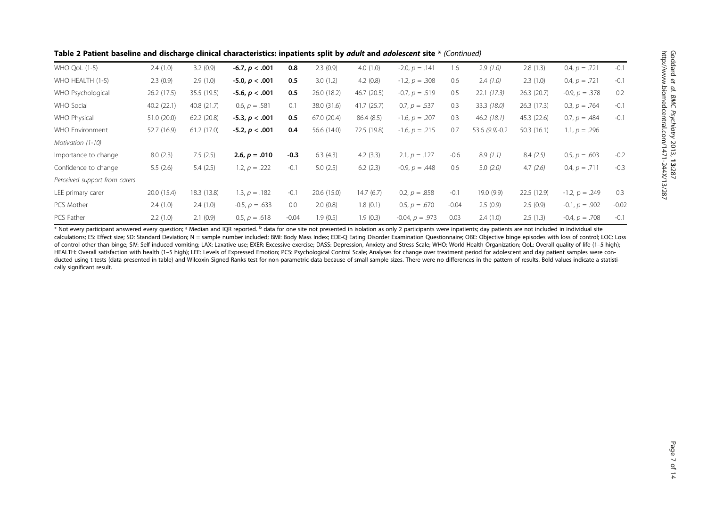Table 2 Patient baseline and discharge clinical characteristics: inpatients split by adult and adolescent site \* (Continued)

| WHO QoL (1-5)                 | 2.4(1.0)    | 3.2(0.9)    | $-6.7, p < .001$ | 0.8     | 2.3(0.9)    | 4.0(1.0)    | $-2.0, p = .141$  | 1.6     | 2.9(1.0)       | 2.8(1.3)    | 0.4, $p = .721$     | $-0.1$  |
|-------------------------------|-------------|-------------|------------------|---------|-------------|-------------|-------------------|---------|----------------|-------------|---------------------|---------|
| WHO HEALTH (1-5)              | 2.3(0.9)    | 2.9(1.0)    | $-5.0, p < .001$ | 0.5     | 3.0(1.2)    | 4.2(0.8)    | $-1.2, p = .308$  | 0.6     | 2.4(1.0)       | 2.3(1.0)    | 0.4, $p = .721$     | $-0.1$  |
| WHO Psychological             | 26.2(17.5)  | 35.5 (19.5) | $-5.6, p < .001$ | 0.5     | 26.0(18.2)  | 46.7(20.5)  | $-0.7, p = .519$  | 0.5     | 22.1(17.3)     | 26.3(20.7)  | $-0.9, p = .378$    | 0.2     |
| WHO Social                    | 40.2(22.1)  | 40.8(21.7)  | 0.6, $p = .581$  | 0.1     | 38.0 (31.6) | 41.7(25.7)  | 0.7, $p = .537$   | 0.3     | 33.3 (18.0)    | 26.3(17.3)  | 0.3, $p = .764$     | $-0.1$  |
| <b>WHO Physical</b>           | 51.0(20.0)  | 62.2(20.8)  | $-5.3, p < .001$ | 0.5     | 67.0 (20.4) | 86.4(8.5)   | $-1.6, p = .207$  | 0.3     | 46.2(18.1)     | 45.3 (22.6) | 0.7, $p = .484$     | $-0.1$  |
| <b>WHO Environment</b>        | 52.7 (16.9) | 61.2(17.0)  | $-5.2, p < .001$ | 0.4     | 56.6 (14.0) | 72.5 (19.8) | $-1.6, p = .215$  | 0.7     | 53.6 (9.9)-0.2 | 50.3(16.1)  | 1.1, $p = .296$     |         |
| Motivation (1-10)             |             |             |                  |         |             |             |                   |         |                |             |                     |         |
| Importance to change          | 8.0(2.3)    | 7.5(2.5)    | 2.6, $p = .010$  | $-0.3$  | 6.3(4.3)    | 4.2(3.3)    | 2.1, $p = .127$   | $-0.6$  | 8.9(1.1)       | 8.4(2.5)    | 0.5, $p = .603$     | $-0.2$  |
| Confidence to change          | 5.5(2.6)    | 5.4(2.5)    | 1.2, $p = .222$  | $-0.1$  | 5.0(2.5)    | 6.2(2.3)    | $-0.9, p = .448$  | 0.6     | 5.0(2.0)       | 4.7(2.6)    | 0.4, $p = .711$     | $-0.3$  |
| Perceived support from carers |             |             |                  |         |             |             |                   |         |                |             |                     |         |
| LEE primary carer             | 20.0(15.4)  | 18.3 (13.8) | 1.3, $p = .182$  | $-0.1$  | 20.6(15.0)  | 14.7(6.7)   | 0.2, $p = .858$   | $-0.1$  | 19.0 (9.9)     | 22.5(12.9)  | $-1.2$ , $p = .249$ | 0.3     |
| PCS Mother                    | 2.4(1.0)    | 2.4(1.0)    | $-0.5, p = .633$ | $0.0\,$ | 2.0(0.8)    | 1.8(0.1)    | 0.5, $p = .670$   | $-0.04$ | 2.5(0.9)       | 2.5(0.9)    | $-0.1, p = .902$    | $-0.02$ |
| PCS Father                    | 2.2(1.0)    | 2.1(0.9)    | 0.5, $p = .618$  | $-0.04$ | 1.9(0.5)    | 1.9(0.3)    | $-0.04, p = .973$ | 0.03    | 2.4(1.0)       | 2.5(1.3)    | $-0.4, p = .708$    | $-0.1$  |

\* Not every participant answered every question; <sup>a</sup> Median and IQR reported. <sup>b</sup> data for one site not presented in isolation as only 2 participants were inpatients; day patients are not included in individual site calculations; ES: Effect size; SD: Standard Deviation; N = sample number included; BMI: Body Mass Index; EDE-Q Eating Disorder Examination Questionnaire; OBE: Objective binge episodes with loss of control; LOC: Loss of control other than binge; SIV: Self-induced vomiting; LAX: Laxative use; EXER: Excessive exercise; DASS: Depression, Anxiety and Stress Scale; WHO: World Health Organization; QoL: Overall quality of life (1–5 high); HEALTH: Overall satisfaction with health (1–5 high); LEE: Levels of Expressed Emotion; PCS: Psychological Control Scale; Analyses for change over treatment period for adolescent and day patient samples were conducted using t-tests (data presented in table) and Wilcoxin Signed Ranks test for non-parametric data because of small sample sizes. There were no differences in the pattern of results. Bold values indicate a statistically significant result.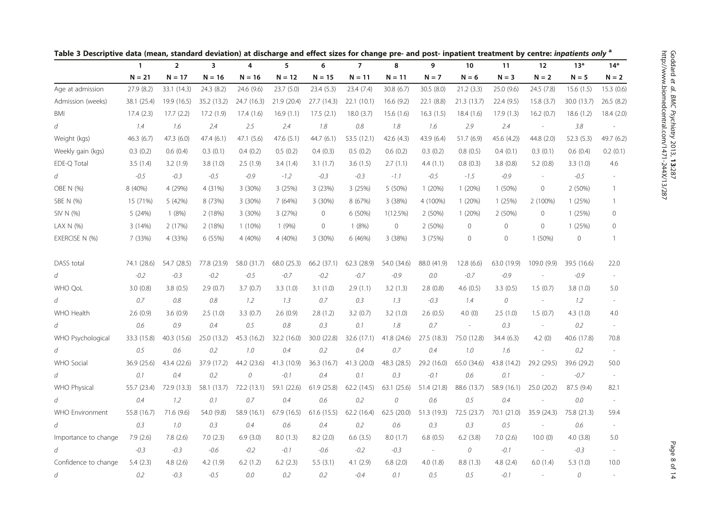| rable 5 Descriptive data (mean, standard deviation) at discharge and effect sizes for change pre- and post- inpatient treatment by centre: <i>inputients only</i> | $\mathbf{1}$ | $\overline{2}$ | 3           | 4           | 5           | 6                   | $\overline{7}$ | 8            | 9           | 10          | 11                  | 12                       | $13*$               | $14*$         |
|-------------------------------------------------------------------------------------------------------------------------------------------------------------------|--------------|----------------|-------------|-------------|-------------|---------------------|----------------|--------------|-------------|-------------|---------------------|--------------------------|---------------------|---------------|
|                                                                                                                                                                   | $N = 21$     | $N = 17$       | $N = 16$    | $N = 16$    | $N = 12$    | $N = 15$            | $N = 11$       | $N = 11$     | $N = 7$     | $N = 6$     | $N = 3$             | $N = 2$                  | $N = 5$             | $N = 2$       |
| Age at admission                                                                                                                                                  | 27.9 (8.2)   | 33.1 (14.3)    | 24.3 (8.2)  | 24.6 (9.6)  | 23.7(5.0)   | 23.4 (5.3)          | 23.4 (7.4)     | 30.8 (6.7)   | 30.5 (8.0)  | 21.2(3.3)   | 25.0 (9.6)          | 24.5 (7.8)               | 15.6(1.5)           | 15.3 (0.6)    |
| Admission (weeks)                                                                                                                                                 | 38.1 (25.4)  | 19.9 (16.5)    | 35.2 (13.2) | 24.7 (16.3) | 21.9 (20.4) | 27.7 (14.3)         | 22.1 (10.1)    | 16.6(9.2)    | 22.1 (8.8)  | 21.3 (13.7) | 22.4(9.5)           | 15.8(3.7)                | 30.0 (13.7)         | 26.5 (8.2)    |
| BMI                                                                                                                                                               | 17.4(2.3)    | 17.7(2.2)      | 17.2 (1.9)  | 17.4(1.6)   | 16.9(1.1)   | 17.5(2.1)           | 18.0(3.7)      | 15.6(1.6)    | 16.3(1.5)   | 18.4(1.6)   | 17.9(1.3)           | 16.2(0.7)                | 18.6(1.2)           | 18.4(2.0)     |
| d                                                                                                                                                                 | 1.4          | 1.6            | 2.4         | 2.5         | 2.4         | 1.8                 | $0.8\,$        | 1.8          | 1.6         | 2.9         | 2.4                 | $\sim$                   | 3.8                 |               |
| Weight (kgs)                                                                                                                                                      | 46.3 (6.7)   | 47.3 (6.0)     | 47.4(6.1)   | 47.1 (5.6)  | 47.6(5.1)   | 44.7 (6.1)          | 53.5 (12.1)    | 42.6(4.3)    | 43.9 (6.4)  | 51.7(6.9)   | 45.6 (4.2))         | 44.8 (2.0)               | 52.3(5.3)           | 49.7 (6.2)    |
| Weekly gain (kgs)                                                                                                                                                 | 0.3(0.2)     | 0.6(0.4)       | 0.3(0.1)    | 0.4(0.2)    | 0.5(0.2)    | 0.4(0.3)            | 0.5(0.2)       | 0.6(0.2)     | 0.3(0.2)    | 0.8(0.5)    | 0.4(0.1)            | 0.3(0.1)                 | 0.6(0.4)            | 0.2(0.1)      |
| EDE-Q Total                                                                                                                                                       | 3.5(1.4)     | 3.2(1.9)       | 3.8(1.0)    | 2.5(1.9)    | 3.4(1.4)    | 3.1(1.7)            | 3.6(1.5)       | 2.7(1.1)     | 4.4(1.1)    | 0.8(0.3)    | 3.8(0.8)            | 5.2(0.8)                 | 3.3(1.0)            | 4.6           |
| d                                                                                                                                                                 | $-0.5$       | $-0.3$         | $-0.5$      | $-0.9$      | $-1.2$      | $-0.3$              | $-0.3$         | $-1.1$       | $-0.5$      | $-1.5$      | $-0.9$              |                          | $-0.5$              |               |
| OBE N (%)                                                                                                                                                         | 8 (40%)      | 4 (29%)        | 4 (31%)     | 3 (30%)     | 3 (25%)     | 3 (23%)             | 3 (25%)        | 5 (50%)      | 1(20%)      | 1(20%)      | $1(50\%)$           | 0                        | 2 (50%)             | $\mathbf{1}$  |
| SBE N (%)                                                                                                                                                         | 15 (71%)     | 5 (42%)        | 8 (73%)     | 3 (30%)     | 7 (64%)     | 3 (30%)             | 8 (67%)        | 3 (38%)      | 4 (100%)    | 1(20%)      | 1(25%)              | 2 (100%)                 | 1(25%)              | $\mathbf{1}$  |
| SIV N (%)                                                                                                                                                         | 5 (24%)      | 1(8%)          | 2 (18%)     | 3 (30%)     | 3 (27%)     | $\mathsf{O}\xspace$ | 6 (50%)        | 1(12.5%)     | 2 (50%)     | 1 (20%)     | 2 (50%)             | $\overline{0}$           | 1 (25%)             | $\circ$       |
| LAX N (%)                                                                                                                                                         | 3 (14%)      | 2(17%)         | 2 (18%)     | $1(10\%)$   | 1(9%)       | $\mathsf{O}\xspace$ | 1(8%)          | $\circ$      | 2 (50%)     | $\mathbb O$ | $\mathsf{O}\xspace$ | $\circ$                  | 1 (25%)             | $\mathbf 0$   |
| EXERCISE N (%)                                                                                                                                                    | 7 (33%)      | 4 (33%)        | 6 (55%)     | 4 (40%)     | 4 (40%)     | 3 (30%)             | 6 (46%)        | 3 (38%)      | 3 (75%)     | $\mathbb O$ | $\overline{0}$      | 1 (50%)                  | $\mathsf{O}\xspace$ | $\mathbf{1}$  |
| DASS total                                                                                                                                                        | 74.1 (28.6)  | 54.7 (28.5)    | 77.8 (23.9) | 58.0 (31.7) | 68.0 (25.3) | 66.2 (37.1)         | 62.3 (28.9)    | 54.0 (34.6)  | 88.0 (41.9) | 12.8(6.6)   | 63.0 (19.9)         | 109.0 (9.9)              | 39.5 (16.6)         | 22.0          |
| d                                                                                                                                                                 | $-0.2$       | $-0.3$         | $-0.2$      | $-0.5$      | $-0.7$      | $-0.2$              | $-0.7$         | $-0.9$       | 0.0         | $-0.7$      | $-0.9$              | $\sim$                   | $-0.9$              |               |
| WHO QoL                                                                                                                                                           | 3.0(0.8)     | 3.8(0.5)       | 2.9(0.7)    | 3.7(0.7)    | 3.3(1.0)    | 3.1(1.0)            | 2.9(1.1)       | 3.2(1.3)     | 2.8(0.8)    | 4.6(0.5)    | 3.3(0.5)            | 1.5(0.7)                 | 3.8(1.0)            | 5.0           |
| d                                                                                                                                                                 | $0.7$        | 0.8            | 0.8         | 1.2         | 1.3         | 0.7                 | 0.3            | 1.3          | $-0.3$      | 1.4         | 0                   | $\sim$                   | 1.2                 |               |
| WHO Health                                                                                                                                                        | 2.6(0.9)     | 3.6(0.9)       | 2.5(1.0)    | 3.3(0.7)    | 2.6(0.9)    | 2.8(1.2)            | 3.2(0.7)       | 3.2(1.0)     | 2.6(0.5)    | 4.0(0)      | 2.5(1.0)            | 1.5(0.7)                 | 4.3(1.0)            | 4.0           |
| d                                                                                                                                                                 | 0.6          | 0.9            | 0.4         | 0.5         | 0.8         | 0.3                 | 0.1            | 1.8          | 0.7         | $\sim$      | 0.3                 | $\sim$                   | 0.2                 |               |
| WHO Psychological                                                                                                                                                 | 33.3 (15.8)  | 40.3 (15.6)    | 25.0 (13.2) | 45.3 (16.2) | 32.2 (16.0) | 30.0 (22.8)         | 32.6 (17.1)    | 41.8 (24.6)  | 27.5 (18.3) | 75.0 (12.8) | 34.4(6.3)           | 4.2(0)                   | 40.6 (17.8)         | 70.8          |
| d                                                                                                                                                                 | 0.5          | 0.6            | 0.2         | 1.0         | 0.4         | 0.2                 | 0.4            | 0.7          | 0.4         | 1.0         | 1.6                 |                          | 0.2                 | $\sim$        |
| <b>WHO Social</b>                                                                                                                                                 | 36.9 (25.6)  | 43.4 (22.6)    | 37.9 (17.2) | 44.2 (23.6) | 41.3 (10.9) | 36.3 (16.7)         | 41.3 (20.0)    | 48.3 (28.5)  | 29.2 (16.0) | 65.0 (34.6) | 43.8 (14.2)         | 29.2 (29.5)              | 39.6 (29.2)         | 50.0          |
| d                                                                                                                                                                 | $0.1\,$      | 0.4            | 0.2         | 0           | $-0.1$      | 0.4                 | 0.1            | 0.3          | $-0.1$      | 0.6         | 0.1                 | $\sim$                   | $-0.7$              | $\mathcal{L}$ |
| WHO Physical                                                                                                                                                      | 55.7 (23.4)  | 72.9 (13.3)    | 58.1 (13.7) | 72.2(13.1)  | 59.1 (22.6) | 61.9 (25.8)         | 62.2 (14.5)    | 63.1(25.6)   | 51.4(21.8)  | 88.6 (13.7) | 58.9 (16.1)         | 25.0 (20.2)              | 87.5 (9.4)          | 82.1          |
| d                                                                                                                                                                 | 0.4          | 1.2            | 0.1         | $0.7\,$     | 0.4         | $0.6\,$             | $0.2\,$        | $\mathcal O$ | 0.6         | 0.5         | 0.4                 | $\overline{\phantom{a}}$ | $0.0\,$             | $\mathcal{L}$ |
| <b>WHO Environment</b>                                                                                                                                            | 55.8 (16.7)  | 71.6 (9.6)     | 54.0 (9.8)  | 58.9 (16.1) | 67.9(16.5)  | 61.6 (15.5)         | 62.2 (16.4)    | 62.5 (20.0)  | 51.3 (19.3) | 72.5 (23.7) | 70.1 (21.0)         | 35.9 (24.3)              | 75.8 (21.3)         | 59.4          |
| d                                                                                                                                                                 | 0.3          | 1.0            | 0.3         | 0.4         | 0.6         | 0.4                 | $0.2\,$        | 0.6          | 0.3         | 0.3         | 0.5                 |                          | 0.6                 |               |
| Importance to change                                                                                                                                              | 7.9(2.6)     | 7.8(2.6)       | 7.0(2.3)    | 6.9(3.0)    | 8.0(1.3)    | 8.2(2.0)            | 6.6(3.5)       | 8.0(1.7)     | 6.8(0.5)    | 6.2(3.8)    | 7.0(2.6)            | 10.0(0)                  | 4.0(3.8)            | 5.0           |
| d                                                                                                                                                                 | $-0.3$       | $-0.3$         | $-0.6$      | $-0.2$      | $-0.1$      | $-0.6$              | $-0.2$         | $-0.3$       | $\sim$      | 0           | $-0.1$              |                          | $-0.3$              |               |
| Confidence to change                                                                                                                                              | 5.4(2.3)     | 4.8(2.6)       | 4.2(1.9)    | 6.2(1.2)    | 6.2(2.3)    | 5.5(3.1)            | 4.1(2.9)       | 6.8(2.0)     | 4.0(1.8)    | 8.8(1.3)    | 4.8(2.4)            | 6.0(1.4)                 | 5.3(1.0)            | 10.0          |
| d                                                                                                                                                                 | 0.2          | $-0.3$         | $-0.5$      | 0.0         | 0.2         | 0.2                 | $-0.4$         | 0.1          | 0.5         | 0.5         | $-0.1$              |                          | 0                   |               |

<span id="page-7-0"></span>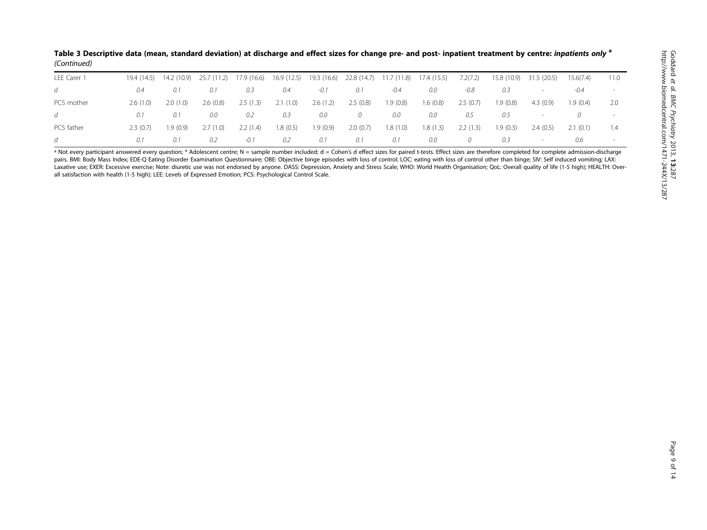| Table 3 Descriptive data (mean, standard deviation) at discharge and effect sizes for change pre- and post- inpatient treatment by centre: inpatients only <sup>a</sup> |  |
|-------------------------------------------------------------------------------------------------------------------------------------------------------------------------|--|
| (Continued)                                                                                                                                                             |  |

| LEE Carer 1 |          |          | 19.4 (14.5) 14.2 (10.9) 25.7 (11.2) 17.9 (16.6) 16.9 (12.5) 19.3 (16.6) 22.8 (14.7) 11.7 (11.8) 17.4 (15.5) |          |          |          |          |           |          | 7.2(7.2) | 15.8 (10.9) | 31.5 (20.5) | 15.6(7.4) | 11.0 |
|-------------|----------|----------|-------------------------------------------------------------------------------------------------------------|----------|----------|----------|----------|-----------|----------|----------|-------------|-------------|-----------|------|
| đ           | 0.4      | 0.1      | 0.1                                                                                                         | 0.3      | 0.4      | $-0.1$   | 0.1      | $-0.4$    | 0.0      | -0.8     | 0.3         |             | -0.4      |      |
| PCS mother  | 2.6(1.0) | 2.0(1.0) | 2.6(0.8)                                                                                                    | 2.5(1.3) | 2.1(1.0) | 2.6(1.2) | 2.5(0.8) | 1.9(0.8)  | 1.6(0.8) | 2.5(0.7) | 1.9(0.8)    | 4.3(0.9)    | 1.9(0.4)  | 2.0  |
| d           | 0.1      | 0.1      | 0.0                                                                                                         | 0.2      | 0.3      | 0.0      | 0        | 0.0       | 0.0      | 0.5      | 0.5         |             |           |      |
| PCS father  | 2.3(0.7) | 1.9(0.9) | 2.7(1.0)                                                                                                    | 2.2(1.4) | 1.8(0.5) | 1.9(0.9) | 2.0(0.7) | 1.8 (1.0) | 1.8(1.3) | 2.2(1.3) | 1.9(0.3)    | 2.4(0.5)    | 2.1(0.1)  | 1.4  |
| đ           | 0.1      | 0.1      | 0.2                                                                                                         | $-0.1$   | 0.2      | 0.1      | 0.1      | 0.1       | 0.0      | 0        | 03          |             | 0.6       |      |

<sup>a</sup> Not every participant answered every question; \* Adolescent centre; N = sample number included; d = Cohen's d effect sizes for paired t-tests. Effect sizes are therefore completed for complete admission-discharge pairs. BMI: Body Mass Index; EDE-Q Eating Disorder Examination Questionnaire; OBE: Objective binge episodes with loss of control; LOC: eating with loss of control other than binge; SIV: Self induced vomiting; LAX: Laxative use; EXER: Excessive exercise; Note: diuretic use was not endorsed by anyone. DASS: Depression, Anxiety and Stress Scale; WHO: World Health Organisation; QoL: Overall quality of life (1-5 high); HEALTH: Overall satisfaction with health (1-5 high); LEE: Levels of Expressed Emotion; PCS: Psychological Control Scale.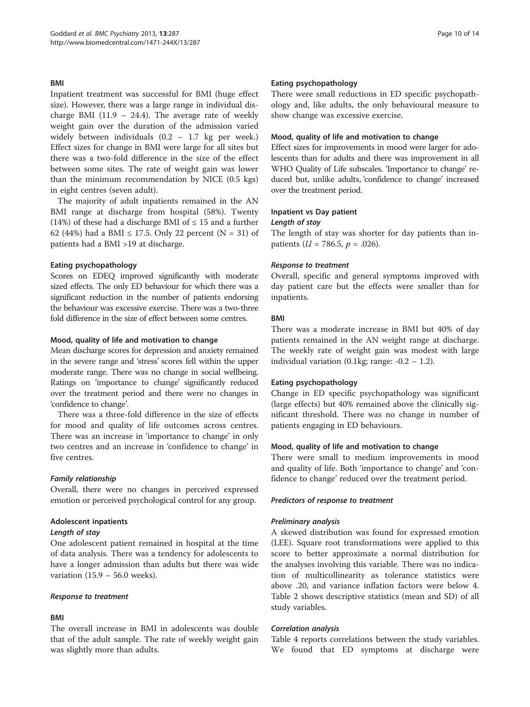#### BMI

Inpatient treatment was successful for BMI (huge effect size). However, there was a large range in individual discharge BMI (11.9 – 24.4). The average rate of weekly weight gain over the duration of the admission varied widely between individuals (0.2 – 1.7 kg per week.) Effect sizes for change in BMI were large for all sites but there was a two-fold difference in the size of the effect between some sites. The rate of weight gain was lower than the minimum recommendation by NICE (0.5 kgs) in eight centres (seven adult).

The majority of adult inpatients remained in the AN BMI range at discharge from hospital (58%). Twenty (14%) of these had a discharge BMI of  $\leq$  15 and a further 62 (44%) had a BMI  $\leq$  17.5. Only 22 percent (N = 31) of patients had a BMI >19 at discharge.

#### Eating psychopathology

Scores on EDEQ improved significantly with moderate sized effects. The only ED behaviour for which there was a significant reduction in the number of patients endorsing the behaviour was excessive exercise. There was a two-three fold difference in the size of effect between some centres.

#### Mood, quality of life and motivation to change

Mean discharge scores for depression and anxiety remained in the severe range and 'stress' scores fell within the upper moderate range. There was no change in social wellbeing. Ratings on 'importance to change' significantly reduced over the treatment period and there were no changes in 'confidence to change'.

There was a three-fold difference in the size of effects for mood and quality of life outcomes across centres. There was an increase in 'importance to change' in only two centres and an increase in 'confidence to change' in five centres.

#### Family relationship

Overall, there were no changes in perceived expressed emotion or perceived psychological control for any group.

#### Adolescent inpatients

#### Length of stay

One adolescent patient remained in hospital at the time of data analysis. There was a tendency for adolescents to have a longer admission than adults but there was wide variation  $(15.9 - 56.0$  weeks).

# Response to treatment

#### BMI

The overall increase in BMI in adolescents was double that of the adult sample. The rate of weekly weight gain was slightly more than adults.

#### Eating psychopathology

There were small reductions in ED specific psychopathology and, like adults, the only behavioural measure to show change was excessive exercise.

#### Mood, quality of life and motivation to change

Effect sizes for improvements in mood were larger for adolescents than for adults and there was improvement in all WHO Quality of Life subscales. 'Importance to change' reduced but, unlike adults, 'confidence to change' increased over the treatment period.

#### Inpatient vs Day patient

#### Length of stay

The length of stay was shorter for day patients than inpatients ( $U = 786.5$ ,  $p = .026$ ).

#### Response to treatment

Overall, specific and general symptoms improved with day patient care but the effects were smaller than for inpatients.

#### BMI

There was a moderate increase in BMI but 40% of day patients remained in the AN weight range at discharge. The weekly rate of weight gain was modest with large individual variation (0.1kg; range:  $-0.2 - 1.2$ ).

#### Eating psychopathology

Change in ED specific psychopathology was significant (large effects) but 40% remained above the clinically significant threshold. There was no change in number of patients engaging in ED behaviours.

#### Mood, quality of life and motivation to change

There were small to medium improvements in mood and quality of life. Both 'importance to change' and 'confidence to change' reduced over the treatment period.

#### Predictors of response to treatment

#### Preliminary analysis

A skewed distribution was found for expressed emotion (LEE). Square root transformations were applied to this score to better approximate a normal distribution for the analyses involving this variable. There was no indication of multicollinearity as tolerance statistics were above .20, and variance inflation factors were below 4. Table [2](#page-5-0) shows descriptive statistics (mean and SD) of all study variables.

#### Correlation analysis

Table [4](#page-10-0) reports correlations between the study variables. We found that ED symptoms at discharge were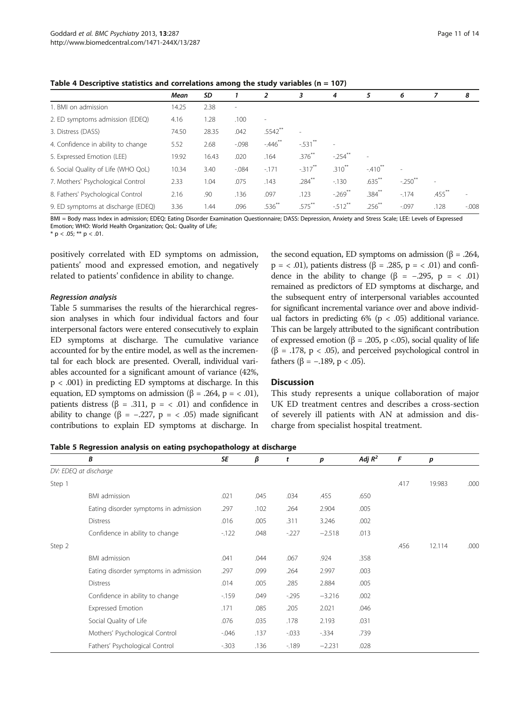| Table 4 Descriptive statistics and correlations among the study variables (h = 107) |       |       |                          |                       |                       |                       |                       |                       |           |          |
|-------------------------------------------------------------------------------------|-------|-------|--------------------------|-----------------------|-----------------------|-----------------------|-----------------------|-----------------------|-----------|----------|
|                                                                                     | Mean  | SD    |                          | 2                     | 3                     | 4                     | 5                     | 6                     | 7         | 8        |
| 1. BMI on admission                                                                 | 14.25 | 2.38  | $\overline{\phantom{a}}$ |                       |                       |                       |                       |                       |           |          |
| 2. ED symptoms admission (EDEQ)                                                     | 4.16  | 1.28  | .100                     | ٠                     |                       |                       |                       |                       |           |          |
| 3. Distress (DASS)                                                                  | 74.50 | 28.35 | .042                     | $.5542$ <sup>**</sup> |                       |                       |                       |                       |           |          |
| 4. Confidence in ability to change                                                  | 5.52  | 2.68  | $-0.098$                 | $-446$ <sup>**</sup>  | $-.531$ <sup>**</sup> | ٠                     |                       |                       |           |          |
| 5. Expressed Emotion (LEE)                                                          | 19.92 | 16.43 | .020                     | .164                  | $.376***$             | $-.254$ <sup>**</sup> | $\overline{a}$        |                       |           |          |
| 6. Social Quality of Life (WHO QoL)                                                 | 10.34 | 3.40  | $-0.084$                 | $-171$                | $-317$ <sup>**</sup>  | $.310^{**}$           | $-.410$ <sup>**</sup> |                       |           |          |
| 7. Mothers' Psychological Control                                                   | 2.33  | 1.04  | .075                     | .143                  | $.284***$             | $-130$                | $.635***$             | $-.250$ <sup>**</sup> | $\sim$    |          |
| 8. Fathers' Psychological Control                                                   | 2.16  | .90   | .136                     | .097                  | .123                  | $-.269$ <sup>**</sup> | $.384***$             | $-174$                | $.455***$ |          |
| 9. ED symptoms at discharge (EDEQ)                                                  | 3.36  | 1.44  | .096                     | $.536***$             | $.575***$             | $-512$ <sup>**</sup>  | $.256$ <sup>**</sup>  | $-0.097$              | .128      | $-0.008$ |

<span id="page-10-0"></span>Table 4 Descriptive statistics and correlations among the study variables (n = 107)

BMI = Body mass Index in admission; EDEQ: Eating Disorder Examination Questionnaire; DASS: Depression, Anxiety and Stress Scale; LEE: Levels of Expressed Emotion; WHO: World Health Organization; QoL: Quality of Life;

 $*$  p < .05;  $**$  p < .01.

positively correlated with ED symptoms on admission, patients' mood and expressed emotion, and negatively related to patients' confidence in ability to change.

#### Regression analysis

Table 5 summarises the results of the hierarchical regression analyses in which four individual factors and four interpersonal factors were entered consecutively to explain ED symptoms at discharge. The cumulative variance accounted for by the entire model, as well as the incremental for each block are presented. Overall, individual variables accounted for a significant amount of variance (42%, p < .001) in predicting ED symptoms at discharge. In this equation, ED symptoms on admission ( $\beta$  = .264, p = < .01), patients distress (β = .311, p = < .01) and confidence in ability to change (β = -.227, p = < .05) made significant contributions to explain ED symptoms at discharge. In

the second equation, ED symptoms on admission (β = .264,  $p = \langle .01 \rangle$ , patients distress ( $\beta = .285$ ,  $p = \langle .01 \rangle$  and confidence in the ability to change ( $\beta$  = -.295, p = < .01) remained as predictors of ED symptoms at discharge, and the subsequent entry of interpersonal variables accounted for significant incremental variance over and above individual factors in predicting  $6\%$  (p < .05) additional variance. This can be largely attributed to the significant contribution of expressed emotion (β = .205, p <.05), social quality of life  $(\beta = .178, p < .05)$ , and perceived psychological control in fathers (β = -.189, p < .05).

#### **Discussion**

This study represents a unique collaboration of major UK ED treatment centres and describes a cross-section of severely ill patients with AN at admission and discharge from specialist hospital treatment.

| Table 5 Regression analysis on eating psychopathology at discharge |  |  |  |  |  |  |  |  |  |  |  |
|--------------------------------------------------------------------|--|--|--|--|--|--|--|--|--|--|--|
|--------------------------------------------------------------------|--|--|--|--|--|--|--|--|--|--|--|

|        | B                                     | SE       | β    | t        | p        | Adj $R^2$ | F    | p      |      |
|--------|---------------------------------------|----------|------|----------|----------|-----------|------|--------|------|
|        | DV: EDEQ at discharge                 |          |      |          |          |           |      |        |      |
| Step 1 |                                       |          |      |          |          |           | .417 | 19.983 | .000 |
|        | <b>BMI</b> admission                  | .021     | .045 | .034     | .455     | .650      |      |        |      |
|        | Eating disorder symptoms in admission | .297     | .102 | .264     | 2.904    | .005      |      |        |      |
|        | <b>Distress</b>                       | .016     | .005 | .311     | 3.246    | .002      |      |        |      |
|        | Confidence in ability to change       | $-122$   | .048 | $-227$   | $-2.518$ | .013      |      |        |      |
| Step 2 |                                       |          |      |          |          |           | .456 | 12.114 | .000 |
|        | <b>BMI</b> admission                  | .041     | .044 | .067     | .924     | .358      |      |        |      |
|        | Eating disorder symptoms in admission | .297     | .099 | .264     | 2.997    | .003      |      |        |      |
|        | <b>Distress</b>                       | .014     | .005 | .285     | 2.884    | .005      |      |        |      |
|        | Confidence in ability to change       | $-159$   | .049 | $-295$   | $-3.216$ | .002      |      |        |      |
|        | <b>Expressed Emotion</b>              | .171     | .085 | .205     | 2.021    | .046      |      |        |      |
|        | Social Quality of Life                | .076     | .035 | .178     | 2.193    | .031      |      |        |      |
|        | Mothers' Psychological Control        | $-0.046$ | .137 | $-0.033$ | $-334$   | .739      |      |        |      |
|        | Fathers' Psychological Control        | $-303$   | .136 | $-189$   | $-2.231$ | .028      |      |        |      |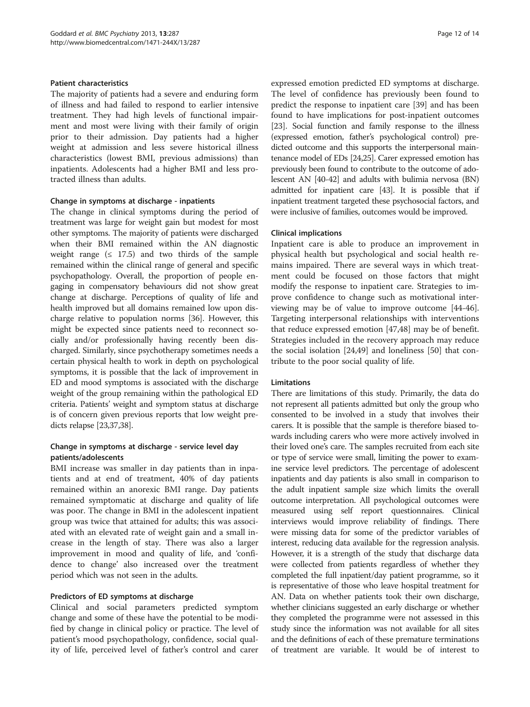#### Patient characteristics

The majority of patients had a severe and enduring form of illness and had failed to respond to earlier intensive treatment. They had high levels of functional impairment and most were living with their family of origin prior to their admission. Day patients had a higher weight at admission and less severe historical illness characteristics (lowest BMI, previous admissions) than inpatients. Adolescents had a higher BMI and less protracted illness than adults.

# Change in symptoms at discharge - inpatients

The change in clinical symptoms during the period of treatment was large for weight gain but modest for most other symptoms. The majority of patients were discharged when their BMI remained within the AN diagnostic weight range  $(≤ 17.5)$  and two thirds of the sample remained within the clinical range of general and specific psychopathology. Overall, the proportion of people engaging in compensatory behaviours did not show great change at discharge. Perceptions of quality of life and health improved but all domains remained low upon discharge relative to population norms [[36](#page-13-0)]. However, this might be expected since patients need to reconnect socially and/or professionally having recently been discharged. Similarly, since psychotherapy sometimes needs a certain physical health to work in depth on psychological symptoms, it is possible that the lack of improvement in ED and mood symptoms is associated with the discharge weight of the group remaining within the pathological ED criteria. Patients' weight and symptom status at discharge is of concern given previous reports that low weight predicts relapse [[23,37,38](#page-13-0)].

#### Change in symptoms at discharge - service level day patients/adolescents

BMI increase was smaller in day patients than in inpatients and at end of treatment, 40% of day patients remained within an anorexic BMI range. Day patients remained symptomatic at discharge and quality of life was poor. The change in BMI in the adolescent inpatient group was twice that attained for adults; this was associated with an elevated rate of weight gain and a small increase in the length of stay. There was also a larger improvement in mood and quality of life, and 'confidence to change' also increased over the treatment period which was not seen in the adults.

#### Predictors of ED symptoms at discharge

Clinical and social parameters predicted symptom change and some of these have the potential to be modified by change in clinical policy or practice. The level of patient's mood psychopathology, confidence, social quality of life, perceived level of father's control and carer

expressed emotion predicted ED symptoms at discharge. The level of confidence has previously been found to predict the response to inpatient care [\[39](#page-13-0)] and has been found to have implications for post-inpatient outcomes [[23\]](#page-13-0). Social function and family response to the illness (expressed emotion, father's psychological control) predicted outcome and this supports the interpersonal maintenance model of EDs [[24,25](#page-13-0)]. Carer expressed emotion has previously been found to contribute to the outcome of adolescent AN [\[40-42\]](#page-13-0) and adults with bulimia nervosa (BN) admitted for inpatient care [\[43\]](#page-13-0). It is possible that if inpatient treatment targeted these psychosocial factors, and were inclusive of families, outcomes would be improved.

#### Clinical implications

Inpatient care is able to produce an improvement in physical health but psychological and social health remains impaired. There are several ways in which treatment could be focused on those factors that might modify the response to inpatient care. Strategies to improve confidence to change such as motivational interviewing may be of value to improve outcome [\[44-46](#page-13-0)]. Targeting interpersonal relationships with interventions that reduce expressed emotion [[47,48\]](#page-13-0) may be of benefit. Strategies included in the recovery approach may reduce the social isolation [\[24,49](#page-13-0)] and loneliness [[50](#page-13-0)] that contribute to the poor social quality of life.

#### Limitations

There are limitations of this study. Primarily, the data do not represent all patients admitted but only the group who consented to be involved in a study that involves their carers. It is possible that the sample is therefore biased towards including carers who were more actively involved in their loved one's care. The samples recruited from each site or type of service were small, limiting the power to examine service level predictors. The percentage of adolescent inpatients and day patients is also small in comparison to the adult inpatient sample size which limits the overall outcome interpretation. All psychological outcomes were measured using self report questionnaires. Clinical interviews would improve reliability of findings. There were missing data for some of the predictor variables of interest, reducing data available for the regression analysis. However, it is a strength of the study that discharge data were collected from patients regardless of whether they completed the full inpatient/day patient programme, so it is representative of those who leave hospital treatment for AN. Data on whether patients took their own discharge, whether clinicians suggested an early discharge or whether they completed the programme were not assessed in this study since the information was not available for all sites and the definitions of each of these premature terminations of treatment are variable. It would be of interest to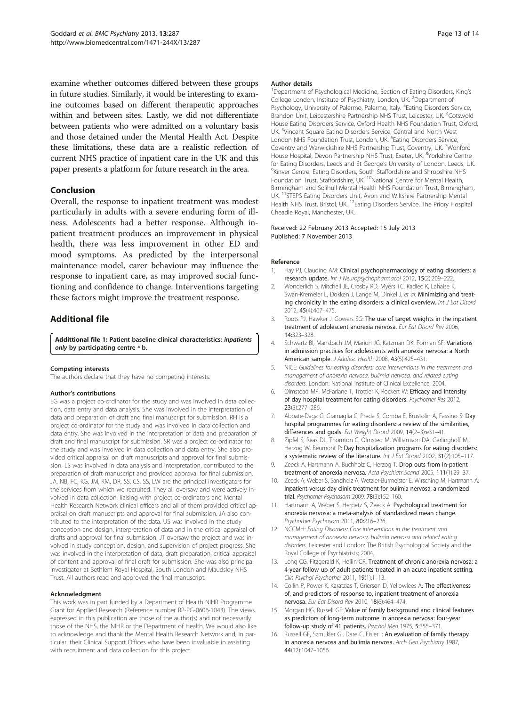<span id="page-12-0"></span>examine whether outcomes differed between these groups in future studies. Similarly, it would be interesting to examine outcomes based on different therapeutic approaches within and between sites. Lastly, we did not differentiate between patients who were admitted on a voluntary basis and those detained under the Mental Health Act. Despite these limitations, these data are a realistic reflection of current NHS practice of inpatient care in the UK and this paper presents a platform for future research in the area.

#### Conclusion

Overall, the response to inpatient treatment was modest particularly in adults with a severe enduring form of illness. Adolescents had a better response. Although inpatient treatment produces an improvement in physical health, there was less improvement in other ED and mood symptoms. As predicted by the interpersonal maintenance model, carer behaviour may influence the response to inpatient care, as may improved social functioning and confidence to change. Interventions targeting these factors might improve the treatment response.

#### Additional file

[Addittional file 1:](http://www.biomedcentral.com/content/supplementary/1471-244X-13-287-S1.docx) Patient baseline clinical characteristics: inpatients only by participating centre <sup>a</sup> b.

#### Competing interests

The authors declare that they have no competing interests.

#### Author's contributions

EG was a project co-ordinator for the study and was involved in data collection, data entry and data analysis. She was involved in the interpretation of data and preparation of draft and final manuscript for submission. RH is a project co-ordinator for the study and was involved in data collection and data entry. She was involved in the interpretation of data and preparation of draft and final manuscript for submission. SR was a project co-ordinator for the study and was involved in data collection and data entry. She also provided critical appraisal on draft manuscripts and approval for final submission. LS was involved in data analysis and interpretation, contributed to the preparation of draft manuscript and provided approval for final submission. JA, NB, FC, KG, JM, KM, DR, SS, CS, SS, LW are the principal investigators for the services from which we recruited. They all oversaw and were actively involved in data collection, liaising with project co-ordinators and Mental Health Research Network clinical officers and all of them provided critical appraisal on draft manuscripts and approval for final submission. JA also contributed to the interpretation of the data. US was involved in the study conception and design, interpretation of data and in the critical appraisal of drafts and approval for final submission. JT oversaw the project and was involved in study conception, design, and supervision of project progress. She was involved in the interpretation of data, draft preparation, critical appraisal of content and approval of final draft for submission. She was also principal investigator at Bethlem Royal Hospital, South London and Maudsley NHS Trust. All authors read and approved the final manuscript.

#### Acknowledgment

This work was in part funded by a Department of Health NIHR Programme Grant for Applied Research (Reference number RP-PG-0606-1043). The views expressed in this publication are those of the author(s) and not necessarily those of the NHS, the NIHR or the Department of Health. We would also like to acknowledge and thank the Mental Health Research Network and, in particular, their Clinical Support Offices who have been invaluable in assisting with recruitment and data collection for this project.

# Author details

<sup>1</sup>Department of Psychological Medicine, Section of Eating Disorders, King's College London, Institute of Psychiatry, London, UK. <sup>2</sup>Department of Psychology, University of Palermo, Palermo, Italy. <sup>3</sup>Eating Disorders Service Brandon Unit, Leicestershire Partnership NHS Trust, Leicester, UK. <sup>4</sup>Cotswold House Eating Disorders Service, Oxford Health NHS Foundation Trust, Oxford, UK. <sup>5</sup>Vincent Square Eating Disorders Service, Central and North West London NHS Foundation Trust, London, UK. <sup>6</sup>Eating Disorders Service, Coventry and Warwickshire NHS Partnership Trust, Coventry, UK.<sup>7</sup>Wonford House Hospital, Devon Partnership NHS Trust, Exeter, UK. <sup>8</sup>Yorkshire Centre for Eating Disorders, Leeds and St George's University of London, Leeds, UK. <sup>9</sup> Kinver Centre, Eating Disorders, South Staffordshire and Shropshire NHS Foundation Trust, Staffordshire, UK. <sup>10</sup>National Centre for Mental Health, Birmingham and Solihull Mental Health NHS Foundation Trust, Birmingham, UK. 11STEPS Eating Disorders Unit, Avon and Wiltshire Partnership Mental Health NHS Trust, Bristol, UK. 12Eating Disorders Service, The Priory Hospital Cheadle Royal, Manchester, UK.

#### Received: 22 February 2013 Accepted: 15 July 2013 Published: 7 November 2013

#### Reference

- 1. Hay PJ, Claudino AM: Clinical psychopharmacology of eating disorders: a research update. Int J Neuropsychopharmacol 2012, 15(2):209–222.
- 2. Wonderlich S, Mitchell JE, Crosby RD, Myers TC, Kadlec K, Lahaise K, Swan-Kremeier L, Dokken J, Lange M, Dinkel J, et al: Minimizing and treating chronicity in the eating disorders: a clinical overview. Int J Eat Disord 2012, 45(4):467–475.
- 3. Roots PJ, Hawker J, Gowers SG: The use of target weights in the inpatient treatment of adolescent anorexia nervosa. Eur Eat Disord Rev 2006, 14:323–328.
- 4. Schwartz BI, Mansbach JM, Marion JG, Katzman DK, Forman SF: Variations in admission practices for adolescents with anorexia nervosa: a North American sample. J Adolesc Health 2008, 43(5):425–431.
- 5. NICE: Guidelines for eating disorders: core interventions in the treatment and management of anorexia nervosa, bulimia nervosa, and related eating disorders. London: National Institute of Clinical Excellence; 2004.
- 6. Olmstead MP, McFarlane T, Trottier K, Rockert W: Efficacy and intensity of day hospital treatment for eating disorders. Psychother Res 2012, 23(3):277–286.
- 7. Abbate-Daga G, Gramaglia C, Preda S, Comba E, Brustolin A, Fassino S: Day hospital programmes for eating disorders: a review of the similarities, differences and goals. Eat Weight Disord 2009, 14(2–3):e31–41.
- Zipfel S, Reas DL, Thornton C, Olmsted M, Williamson DA, Gerlinghoff M, Herzog W, Beumont P: Day hospitalization programs for eating disorders: a systematic review of the literature. Int J Eat Disord 2002, 31(2):105-117.
- Zeeck A, Hartmann A, Buchholz C, Herzog T: Drop outs from in-patient treatment of anorexia nervosa. Acta Psychiatr Scand 2005, 111(1):29–37.
- 10. Zeeck A, Weber S, Sandholz A, Wetzler-Burmeister E, Wirsching M, Hartmann A: Inpatient versus day clinic treatment for bulimia nervosa: a randomized trial. Psychother Psychosom 2009, 78(3):152–160.
- 11. Hartmann A, Weber S, Herpetz S, Zeeck A: Psychological treatment for anorexia nervosa: a meta-analysis of standardized mean change. Psychother Psychosom 2011, 80:216–226.
- 12. NCCMH: Eating Disorders: Core interventions in the treatment and management of anorexia nervosa, bulimia nervosa and related eating disorders. Leicester and London: The British Psychological Society and the Royal College of Psychiatrists; 2004.
- 13. Long CG, Fitzgerald K, Hollin CR: Treatment of chronic anorexia nervosa: a 4-year follow up of adult patients treated in an acute inpatient setting. Clin Psychol Psychother 2011, 19(1):1–13.
- 14. Collin P, Power K, Karatzias T, Grierson D, Yellowlees A: The effectiveness of, and predictors of response to, inpatient treatment of anorexia nervosa. Eur Eat Disord Rev 2010, 18(6):464–474.
- 15. Morgan HG, Russell GF: Value of family background and clinical features as predictors of long-term outcome in anorexia nervosa: four-year follow-up study of 41 patients. Psychol Med 1975, 5:355–371.
- 16. Russell GF, Szmukler GI, Dare C, Eisler I: An evaluation of family therapy in anorexia nervosa and bulimia nervosa. Arch Gen Psychiatry 1987, 44(12):1047–1056.